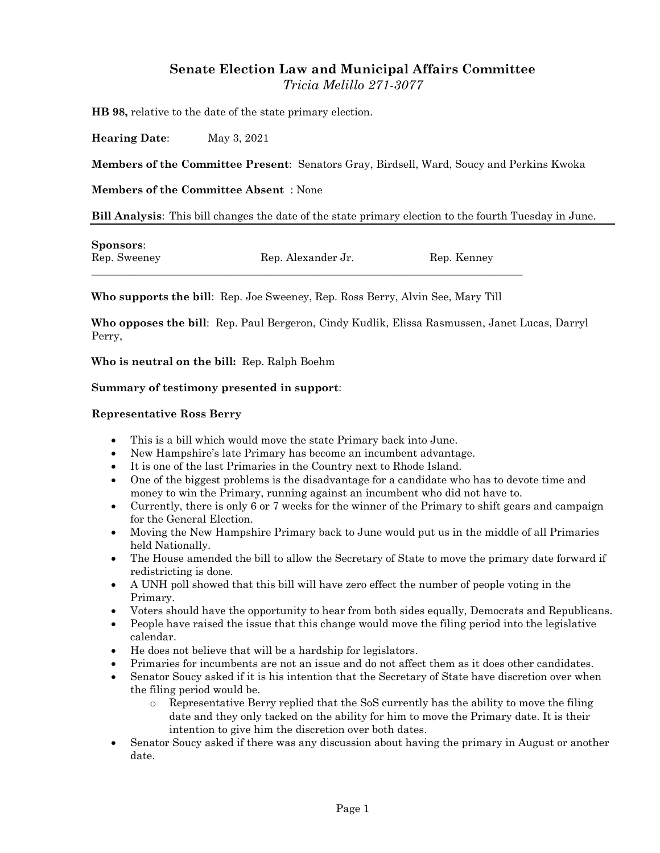# **Senate Election Law and Municipal Affairs Committee** *Tricia Melillo 271-3077*

**HB 98,** relative to the date of the state primary election.

**Hearing Date**: May 3, 2021

**Members of the Committee Present**: Senators Gray, Birdsell, Ward, Soucy and Perkins Kwoka

**Members of the Committee Absent** : None

**Bill Analysis**: This bill changes the date of the state primary election to the fourth Tuesday in June.

| <b>Sponsors:</b> |                    |             |
|------------------|--------------------|-------------|
| Rep. Sweeney     | Rep. Alexander Jr. | Rep. Kenney |

**Who supports the bill**: Rep. Joe Sweeney, Rep. Ross Berry, Alvin See, Mary Till

**Who opposes the bill**: Rep. Paul Bergeron, Cindy Kudlik, Elissa Rasmussen, Janet Lucas, Darryl Perry,

**Who is neutral on the bill:** Rep. Ralph Boehm

#### **Summary of testimony presented in support**:

#### **Representative Ross Berry**

- This is a bill which would move the state Primary back into June.
- New Hampshire's late Primary has become an incumbent advantage.
- It is one of the last Primaries in the Country next to Rhode Island.
- One of the biggest problems is the disadvantage for a candidate who has to devote time and money to win the Primary, running against an incumbent who did not have to.
- Currently, there is only 6 or 7 weeks for the winner of the Primary to shift gears and campaign for the General Election.
- Moving the New Hampshire Primary back to June would put us in the middle of all Primaries held Nationally.
- The House amended the bill to allow the Secretary of State to move the primary date forward if redistricting is done.
- A UNH poll showed that this bill will have zero effect the number of people voting in the Primary.
- Voters should have the opportunity to hear from both sides equally, Democrats and Republicans.
- People have raised the issue that this change would move the filing period into the legislative calendar.
- He does not believe that will be a hardship for legislators.
- Primaries for incumbents are not an issue and do not affect them as it does other candidates.
- Senator Soucy asked if it is his intention that the Secretary of State have discretion over when the filing period would be.
	- o Representative Berry replied that the SoS currently has the ability to move the filing date and they only tacked on the ability for him to move the Primary date. It is their intention to give him the discretion over both dates.
- Senator Soucy asked if there was any discussion about having the primary in August or another date.